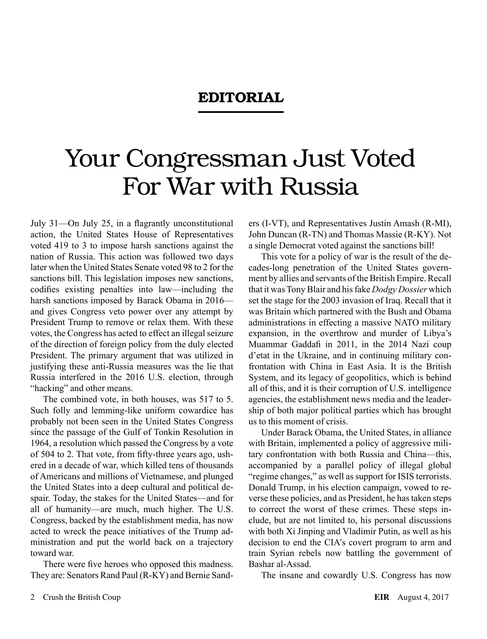## EDITORIAL

## Your Congressman Just Voted For War with Russia

July 31—On July 25, in a flagrantly unconstitutional action, the United States House of Representatives voted 419 to 3 to impose harsh sanctions against the nation of Russia. This action was followed two days later when the United States Senate voted 98 to 2 for the sanctions bill. This legislation imposes new sanctions, codifies existing penalties into law—including the harsh sanctions imposed by Barack Obama in 2016 and gives Congress veto power over any attempt by President Trump to remove or relax them. With these votes, the Congress has acted to effect an illegal seizure of the direction of foreign policy from the duly elected President. The primary argument that was utilized in justifying these anti-Russia measures was the lie that Russia interfered in the 2016 U.S. election, through "hacking" and other means.

The combined vote, in both houses, was 517 to 5. Such folly and lemming-like uniform cowardice has probably not been seen in the United States Congress since the passage of the Gulf of Tonkin Resolution in 1964, a resolution which passed the Congress by a vote of 504 to 2. That vote, from fifty-three years ago, ushered in a decade of war, which killed tens of thousands of Americans and millions of Vietnamese, and plunged the United States into a deep cultural and political despair. Today, the stakes for the United States—and for all of humanity—are much, much higher. The U.S. Congress, backed by the establishment media, has now acted to wreck the peace initiatives of the Trump administration and put the world back on a trajectory toward war.

There were five heroes who opposed this madness. They are: Senators Rand Paul (R-KY) and Bernie Sanders (I-VT), and Representatives Justin Amash (R-MI), John Duncan (R-TN) and Thomas Massie (R-KY). Not a single Democrat voted against the sanctions bill!

This vote for a policy of war is the result of the decades-long penetration of the United States government by allies and servants of the British Empire. Recall that it was Tony Blair and his fake *Dodgy Dossier* which set the stage for the 2003 invasion of Iraq. Recall that it was Britain which partnered with the Bush and Obama administrations in effecting a massive NATO military expansion, in the overthrow and murder of Libya's Muammar Gaddafi in 2011, in the 2014 Nazi coup d'etat in the Ukraine, and in continuing military confrontation with China in East Asia. It is the British System, and its legacy of geopolitics, which is behind all of this, and it is their corruption of U.S. intelligence agencies, the establishment news media and the leadership of both major political parties which has brought us to this moment of crisis.

Under Barack Obama, the United States, in alliance with Britain, implemented a policy of aggressive military confrontation with both Russia and China—this, accompanied by a parallel policy of illegal global "regime changes," as well as support for ISIS terrorists. Donald Trump, in his election campaign, vowed to reverse these policies, and as President, he has taken steps to correct the worst of these crimes. These steps include, but are not limited to, his personal discussions with both Xi Jinping and Vladimir Putin, as well as his decision to end the CIA's covert program to arm and train Syrian rebels now battling the government of Bashar al-Assad.

The insane and cowardly U.S. Congress has now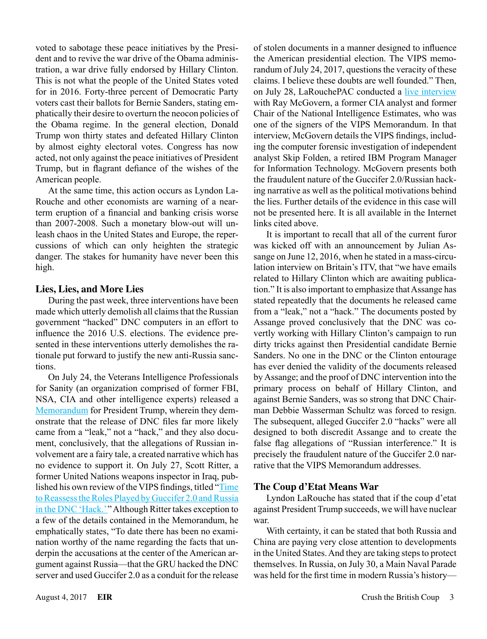voted to sabotage these peace initiatives by the President and to revive the war drive of the Obama administration, a war drive fully endorsed by Hillary Clinton. This is not what the people of the United States voted for in 2016. Forty-three percent of Democratic Party voters cast their ballots for Bernie Sanders, stating emphatically their desire to overturn the neocon policies of the Obama regime. In the general election, Donald Trump won thirty states and defeated Hillary Clinton by almost eighty electoral votes. Congress has now acted, not only against the peace initiatives of President Trump, but in flagrant defiance of the wishes of the American people.

At the same time, this action occurs as Lyndon La-Rouche and other economists are warning of a nearterm eruption of a financial and banking crisis worse than 2007-2008. Such a monetary blow-out will unleash chaos in the United States and Europe, the repercussions of which can only heighten the strategic danger. The stakes for humanity have never been this high.

## **Lies, Lies, and More Lies**

During the past week, three interventions have been made which utterly demolish all claims that the Russian government "hacked" DNC computers in an effort to influence the 2016 U.S. elections. The evidence presented in these interventions utterly demolishes the rationale put forward to justify the new anti-Russia sanctions.

On July 24, the Veterans Intelligence Professionals for Sanity (an organization comprised of former FBI, NSA, CIA and other intelligence experts) released a [Memorandum](http://www.larouchepub.com/other/2017/4430_vips_expose_rus-gate.html) for President Trump, wherein they demonstrate that the release of DNC files far more likely came from a "leak," not a "hack," and they also document, conclusively, that the allegations of Russian involvement are a fairy tale, a created narrative which has no evidence to support it. On July 27, Scott Ritter, a former United Nations weapons inspector in Iraq, published his own review of the VIPS findings, titled "[Time](http://www.truthdig.com/report/item/time_to_reassess_roles_of_guccifer_20_and_russia_in_dnc_hack_20170727)  [to Reassess the Roles Played by Guccifer 2.0 and Russia](http://www.truthdig.com/report/item/time_to_reassess_roles_of_guccifer_20_and_russia_in_dnc_hack_20170727)  [in the DNC 'Hack.'](http://www.truthdig.com/report/item/time_to_reassess_roles_of_guccifer_20_and_russia_in_dnc_hack_20170727)" Although Ritter takes exception to a few of the details contained in the Memorandum, he emphatically states, "To date there has been no examination worthy of the name regarding the facts that underpin the accusations at the center of the American argument against Russia—that the GRU hacked the DNC server and used Guccifer 2.0 as a conduit for the release

of stolen documents in a manner designed to influence the American presidential election. The VIPS memorandum of July 24, 2017, questions the veracity of these claims. I believe these doubts are well founded." Then, on July 28, LaRouchePAC conducted a [live interview](https://www.larouchepac.com/20170729/interview-ray-mcgovern-there-was-no-russian-hack) with Ray McGovern, a former CIA analyst and former Chair of the National Intelligence Estimates, who was one of the signers of the VIPS Memorandum. In that interview, McGovern details the VIPS findings, including the computer forensic investigation of independent analyst Skip Folden, a retired IBM Program Manager for Information Technology. McGovern presents both the fraudulent nature of the Guccifer 2.0/Russian hacking narrative as well as the political motivations behind the lies. Further details of the evidence in this case will not be presented here. It is all available in the Internet links cited above.

It is important to recall that all of the current furor was kicked off with an announcement by Julian Assange on June 12, 2016, when he stated in a mass-circulation interview on Britain's ITV, that "we have emails related to Hillary Clinton which are awaiting publication." It is also important to emphasize that Assange has stated repeatedly that the documents he released came from a "leak," not a "hack." The documents posted by Assange proved conclusively that the DNC was covertly working with Hillary Clinton's campaign to run dirty tricks against then Presidential candidate Bernie Sanders. No one in the DNC or the Clinton entourage has ever denied the validity of the documents released by Assange; and the proof of DNC intervention into the primary process on behalf of Hillary Clinton, and against Bernie Sanders, was so strong that DNC Chairman Debbie Wasserman Schultz was forced to resign. The subsequent, alleged Guccifer 2.0 "hacks" were all designed to both discredit Assange and to create the false flag allegations of "Russian interference." It is precisely the fraudulent nature of the Guccifer 2.0 narrative that the VIPS Memorandum addresses.

## **The Coup d'Etat Means War**

Lyndon LaRouche has stated that if the coup d'etat against President Trump succeeds, we will have nuclear war.

With certainty, it can be stated that both Russia and China are paying very close attention to developments in the United States. And they are taking steps to protect themselves. In Russia, on July 30, a Main Naval Parade was held for the first time in modern Russia's history—